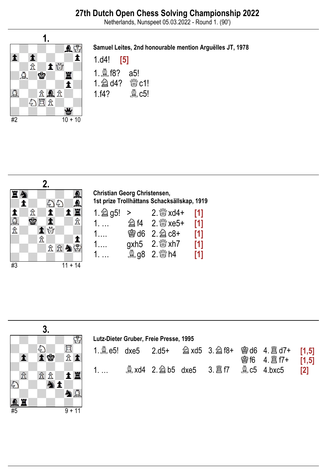Netherlands, Nunspeet 05.03.2022 - Round 1. (90')



### Samuel Leites, 2nd honourable mention Arguëlles JT, 1978





Christian Georg Christensen, 1st prize Trollhättans Schacksällskap, 1919

| $1 \, \hat{\otimes} \,$ g5! > | $2.$ $\frac{800}{200}$ xd4+   | [1]   |
|-------------------------------|-------------------------------|-------|
| 1.                            | <b>② f4 2. 1 xe5+</b>         | [1]   |
| 1.                            | <b>曾d6 2. 2 c8+</b>           | [1]   |
| 1.                            | gxh5 $2.$ $\frac{80}{20}$ xh7 | $[1]$ |
| $1. \ldots$                   | <b>鱼g8 2. &amp; h4</b>        | $[1]$ |

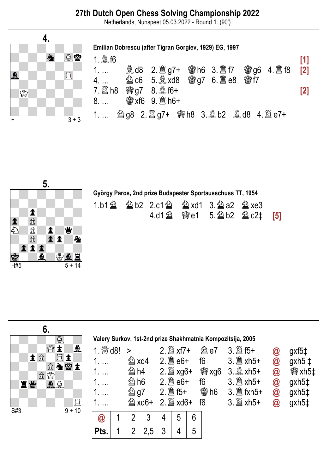## 27th Dutch Open Chess Solving Championship 2022

Netherlands, Nunspeet 05.03.2022 - Round 1. (90')





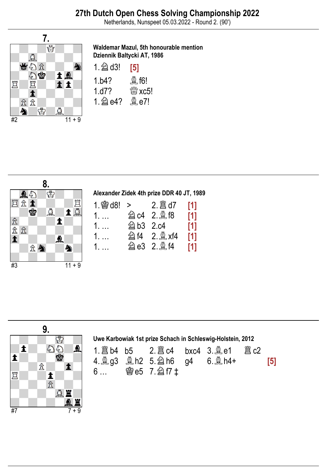Netherlands, Nunspeet 05.03.2022 - Round 2. (90')



#### Waldemar Mazul, 5th honourable mention Dziennik Baltycki AT, 1986

| $1 \triangleq$ d3! | [5]                         |
|--------------------|-----------------------------|
| 1.b4?              | $\mathbf{\mathfrak{D}}$ f6! |
| 1.d7?              | $\frac{M}{K}$ xc5!          |
| 1. 2 e4?           | $\mathcal{Q}$ e7!           |



# Alexander Zidek 4th prize DDR 40 JT, 1989

|             |                     | [1] |
|-------------|---------------------|-----|
| 1.          | <b>② c4 2. ③ f8</b> | [1] |
| $1. \ldots$ | <b>② b3 2.c4</b>    | [1] |
| $1. \ldots$ | <b>214 2. oxf4</b>  | [1] |
| $1. \ldots$ |                     | [1] |